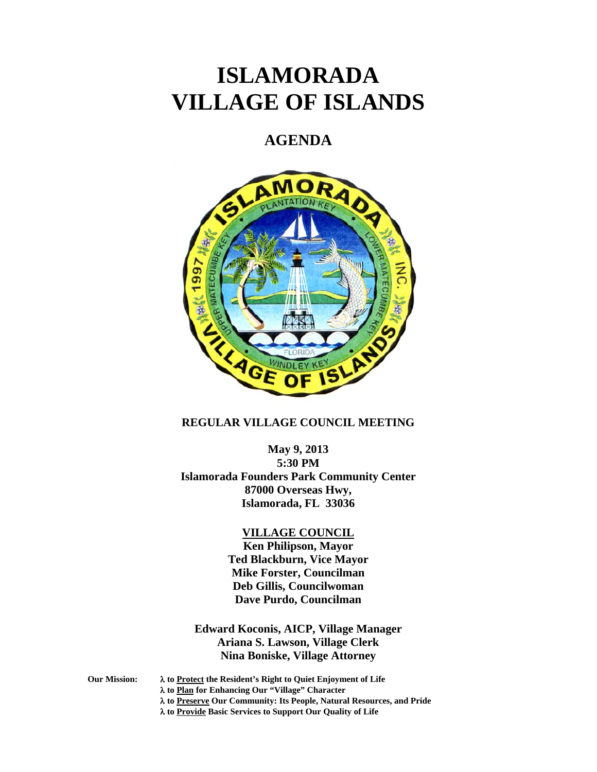# **ISLAMORADA VILLAGE OF ISLANDS**

# **AGENDA**



# **REGULAR VILLAGE COUNCIL MEETING**

**May 9, 2013 5:30 PM Islamorada Founders Park Community Center 87000 Overseas Hwy, Islamorada, FL 33036** 

### **VILLAGE COUNCIL**

**Ken Philipson, Mayor Ted Blackburn, Vice Mayor Mike Forster, Councilman Deb Gillis, Councilwoman Dave Purdo, Councilman** 

**Edward Koconis, AICP, Village Manager Ariana S. Lawson, Village Clerk Nina Boniske, Village Attorney** 

- 
- **Our Mission: to Protect the Resident's Right to Quiet Enjoyment of Life**

 **to Plan for Enhancing Our "Village" Character** 

- **to Preserve Our Community: Its People, Natural Resources, and Pride**
- **to Provide Basic Services to Support Our Quality of Life**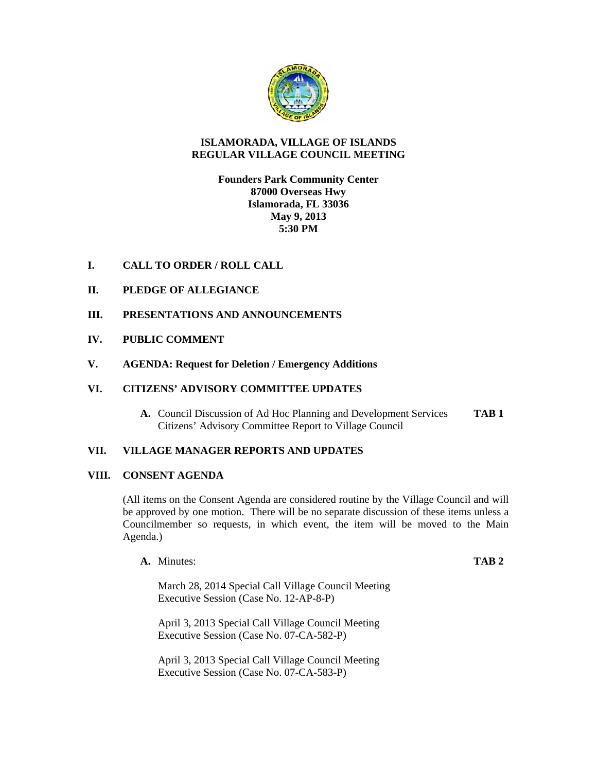

# **ISLAMORADA, VILLAGE OF ISLANDS REGULAR VILLAGE COUNCIL MEETING**

# **Founders Park Community Center 87000 Overseas Hwy Islamorada, FL 33036 May 9, 2013 5:30 PM**

# **I. CALL TO ORDER / ROLL CALL**

# **II. PLEDGE OF ALLEGIANCE**

# **III. PRESENTATIONS AND ANNOUNCEMENTS**

# **IV. PUBLIC COMMENT**

## **V. AGENDA: Request for Deletion / Emergency Additions**

# **VI. CITIZENS' ADVISORY COMMITTEE UPDATES**

**A.** Council Discussion of Ad Hoc Planning and Development Services **TAB 1** Citizens' Advisory Committee Report to Village Council

# **VII. VILLAGE MANAGER REPORTS AND UPDATES**

### **VIII. CONSENT AGENDA**

(All items on the Consent Agenda are considered routine by the Village Council and will be approved by one motion. There will be no separate discussion of these items unless a Councilmember so requests, in which event, the item will be moved to the Main Agenda.)

**A.** Minutes: **TAB 2**

March 28, 2014 Special Call Village Council Meeting Executive Session (Case No. 12-AP-8-P)

April 3, 2013 Special Call Village Council Meeting Executive Session (Case No. 07-CA-582-P)

April 3, 2013 Special Call Village Council Meeting Executive Session (Case No. 07-CA-583-P)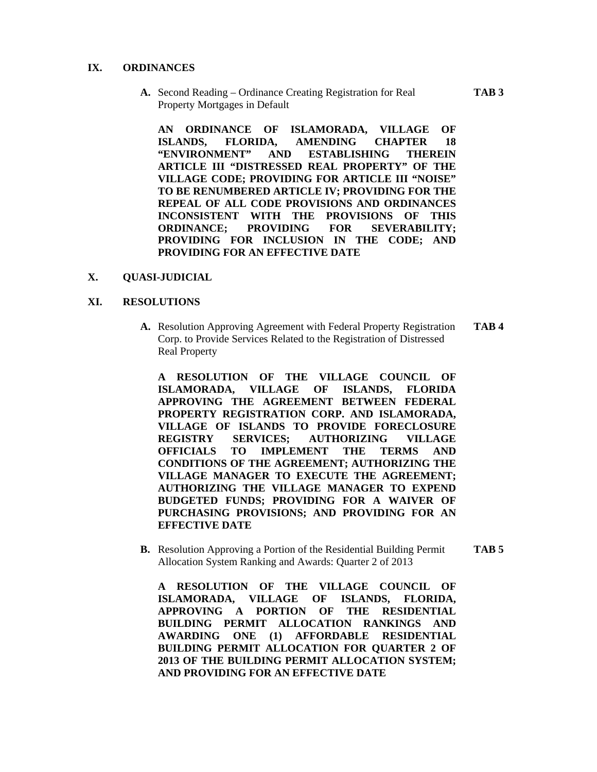#### **IX. ORDINANCES**

**A.** Second Reading – Ordinance Creating Registration for Real **TAB 3** Property Mortgages in Default

**AN ORDINANCE OF ISLAMORADA, VILLAGE OF ISLANDS, FLORIDA, AMENDING CHAPTER 18 "ENVIRONMENT" AND ESTABLISHING THEREIN ARTICLE III "DISTRESSED REAL PROPERTY" OF THE VILLAGE CODE; PROVIDING FOR ARTICLE III "NOISE" TO BE RENUMBERED ARTICLE IV; PROVIDING FOR THE REPEAL OF ALL CODE PROVISIONS AND ORDINANCES INCONSISTENT WITH THE PROVISIONS OF THIS ORDINANCE; PROVIDING FOR SEVERABILITY; PROVIDING FOR INCLUSION IN THE CODE; AND PROVIDING FOR AN EFFECTIVE DATE** 

#### **X. QUASI-JUDICIAL**

#### **XI. RESOLUTIONS**

**A.** Resolution Approving Agreement with Federal Property Registration **TAB 4** Corp. to Provide Services Related to the Registration of Distressed Real Property

**A RESOLUTION OF THE VILLAGE COUNCIL OF ISLAMORADA, VILLAGE OF ISLANDS, FLORIDA APPROVING THE AGREEMENT BETWEEN FEDERAL PROPERTY REGISTRATION CORP. AND ISLAMORADA, VILLAGE OF ISLANDS TO PROVIDE FORECLOSURE REGISTRY SERVICES; AUTHORIZING VILLAGE OFFICIALS TO IMPLEMENT THE TERMS AND CONDITIONS OF THE AGREEMENT; AUTHORIZING THE VILLAGE MANAGER TO EXECUTE THE AGREEMENT; AUTHORIZING THE VILLAGE MANAGER TO EXPEND BUDGETED FUNDS; PROVIDING FOR A WAIVER OF PURCHASING PROVISIONS; AND PROVIDING FOR AN EFFECTIVE DATE** 

**B.** Resolution Approving a Portion of the Residential Building Permit **TAB 5** Allocation System Ranking and Awards: Quarter 2 of 2013

**A RESOLUTION OF THE VILLAGE COUNCIL OF ISLAMORADA, VILLAGE OF ISLANDS, FLORIDA, APPROVING A PORTION OF THE RESIDENTIAL BUILDING PERMIT ALLOCATION RANKINGS AND AWARDING ONE (1) AFFORDABLE RESIDENTIAL BUILDING PERMIT ALLOCATION FOR QUARTER 2 OF 2013 OF THE BUILDING PERMIT ALLOCATION SYSTEM; AND PROVIDING FOR AN EFFECTIVE DATE**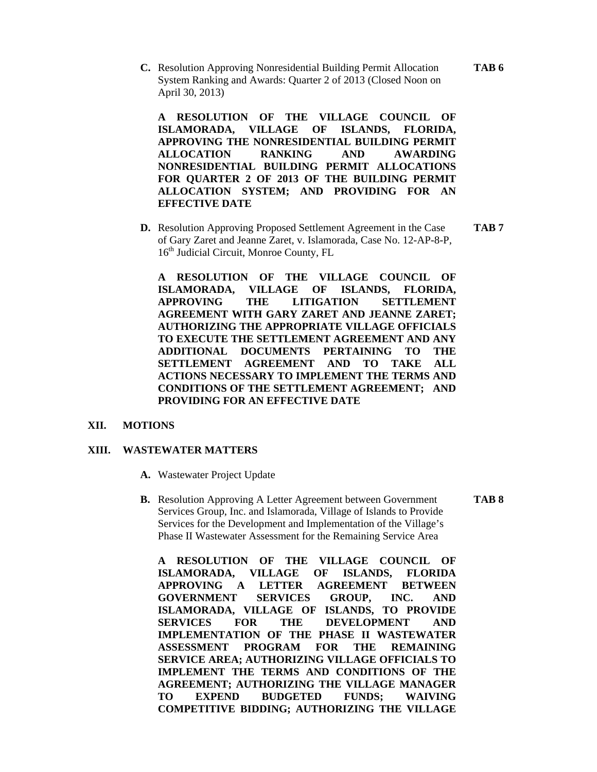**C.** Resolution Approving Nonresidential Building Permit Allocation **TAB 6** System Ranking and Awards: Quarter 2 of 2013 (Closed Noon on April 30, 2013)

**A RESOLUTION OF THE VILLAGE COUNCIL OF ISLAMORADA, VILLAGE OF ISLANDS, FLORIDA, APPROVING THE NONRESIDENTIAL BUILDING PERMIT ALLOCATION RANKING AND AWARDING NONRESIDENTIAL BUILDING PERMIT ALLOCATIONS FOR QUARTER 2 OF 2013 OF THE BUILDING PERMIT ALLOCATION SYSTEM; AND PROVIDING FOR AN EFFECTIVE DATE** 

**D.** Resolution Approving Proposed Settlement Agreement in the Case **TAB 7** of Gary Zaret and Jeanne Zaret, v. Islamorada, Case No. 12-AP-8-P, 16<sup>th</sup> Judicial Circuit, Monroe County, FL

**A RESOLUTION OF THE VILLAGE COUNCIL OF ISLAMORADA, VILLAGE OF ISLANDS, FLORIDA, APPROVING THE LITIGATION SETTLEMENT AGREEMENT WITH GARY ZARET AND JEANNE ZARET; AUTHORIZING THE APPROPRIATE VILLAGE OFFICIALS TO EXECUTE THE SETTLEMENT AGREEMENT AND ANY ADDITIONAL DOCUMENTS PERTAINING TO THE SETTLEMENT AGREEMENT AND TO TAKE ALL ACTIONS NECESSARY TO IMPLEMENT THE TERMS AND CONDITIONS OF THE SETTLEMENT AGREEMENT; AND PROVIDING FOR AN EFFECTIVE DATE** 

#### **XII. MOTIONS**

#### **XIII. WASTEWATER MATTERS**

- **A.** Wastewater Project Update
- **B.** Resolution Approving A Letter Agreement between Government **TAB 8** Services Group, Inc. and Islamorada, Village of Islands to Provide Services for the Development and Implementation of the Village's Phase II Wastewater Assessment for the Remaining Service Area

**A RESOLUTION OF THE VILLAGE COUNCIL OF ISLAMORADA, VILLAGE OF ISLANDS, FLORIDA APPROVING A LETTER AGREEMENT BETWEEN GOVERNMENT SERVICES GROUP, INC. AND ISLAMORADA, VILLAGE OF ISLANDS, TO PROVIDE SERVICES FOR THE DEVELOPMENT AND IMPLEMENTATION OF THE PHASE II WASTEWATER ASSESSMENT PROGRAM FOR THE REMAINING SERVICE AREA; AUTHORIZING VILLAGE OFFICIALS TO IMPLEMENT THE TERMS AND CONDITIONS OF THE AGREEMENT; AUTHORIZING THE VILLAGE MANAGER TO EXPEND BUDGETED FUNDS; WAIVING COMPETITIVE BIDDING; AUTHORIZING THE VILLAGE**